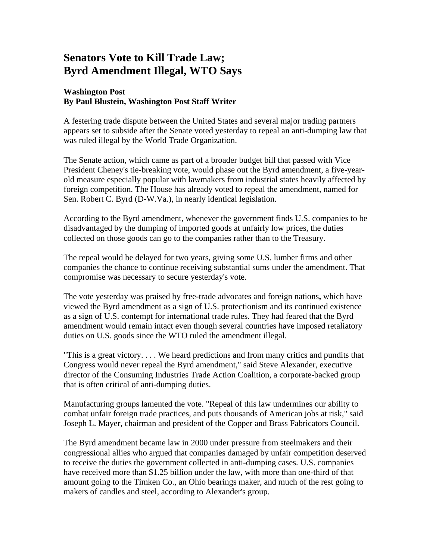## **Senators Vote to Kill Trade Law; Byrd Amendment Illegal, WTO Says**

## **Washington Post By Paul Blustein, Washington Post Staff Writer**

A festering trade dispute between the United States and several major trading partners appears set to subside after the Senate voted yesterday to repeal an anti-dumping law that was ruled illegal by the World Trade Organization.

The Senate action, which came as part of a broader budget bill that passed with Vice President Cheney's tie-breaking vote, would phase out the Byrd amendment, a five-yearold measure especially popular with lawmakers from industrial states heavily affected by foreign competition. The House has already voted to repeal the amendment, named for Sen. Robert C. Byrd (D-W.Va.), in nearly identical legislation.

According to the Byrd amendment, whenever the government finds U.S. companies to be disadvantaged by the dumping of imported goods at unfairly low prices, the duties collected on those goods can go to the companies rather than to the Treasury.

The repeal would be delayed for two years, giving some U.S. lumber firms and other companies the chance to continue receiving substantial sums under the amendment. That compromise was necessary to secure yesterday's vote.

The vote yesterday was praised by free-trade advocates and foreign nations**,** which have viewed the Byrd amendment as a sign of U.S. protectionism and its continued existence as a sign of U.S. contempt for international trade rules. They had feared that the Byrd amendment would remain intact even though several countries have imposed retaliatory duties on U.S. goods since the WTO ruled the amendment illegal.

"This is a great victory. . . . We heard predictions and from many critics and pundits that Congress would never repeal the Byrd amendment," said Steve Alexander, executive director of the Consuming Industries Trade Action Coalition, a corporate-backed group that is often critical of anti-dumping duties.

Manufacturing groups lamented the vote. "Repeal of this law undermines our ability to combat unfair foreign trade practices, and puts thousands of American jobs at risk," said Joseph L. Mayer, chairman and president of the Copper and Brass Fabricators Council.

The Byrd amendment became law in 2000 under pressure from steelmakers and their congressional allies who argued that companies damaged by unfair competition deserved to receive the duties the government collected in anti-dumping cases. U.S. companies have received more than \$1.25 billion under the law, with more than one-third of that amount going to the Timken Co., an Ohio bearings maker, and much of the rest going to makers of candles and steel, according to Alexander's group.